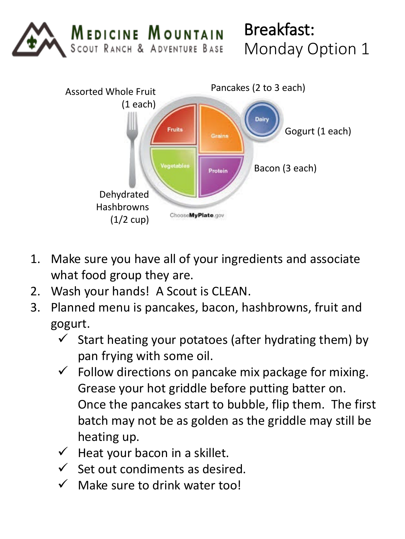

Breakfast: Monday Option 1



- 1. Make sure you have all of your ingredients and associate what food group they are.
- 2. Wash your hands! A Scout is CLEAN.
- 3. Planned menu is pancakes, bacon, hashbrowns, fruit and gogurt.
	- $\checkmark$  Start heating your potatoes (after hydrating them) by pan frying with some oil.
	- $\checkmark$  Follow directions on pancake mix package for mixing. Grease your hot griddle before putting batter on. Once the pancakes start to bubble, flip them. The first batch may not be as golden as the griddle may still be heating up.
	- $\checkmark$  Heat your bacon in a skillet.
	- $\checkmark$  Set out condiments as desired.
	- $\checkmark$  Make sure to drink water too!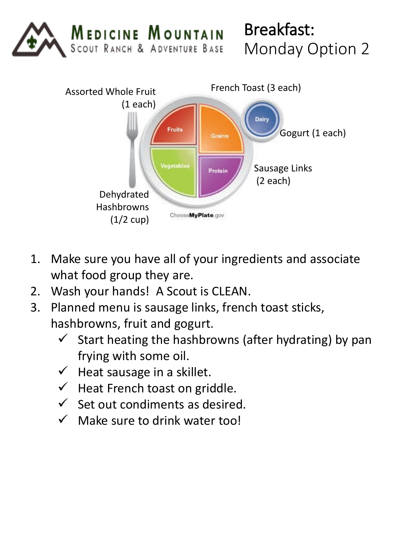

Breakfast: Monday Option 2



- 1. Make sure you have all of your ingredients and associate what food group they are.
- 2. Wash your hands! A Scout is CLEAN.
- 3. Planned menu is sausage links, french toast sticks, hashbrowns, fruit and gogurt.
	- $\checkmark$  Start heating the hashbrowns (after hydrating) by pan frying with some oil.
	- $\checkmark$  Heat sausage in a skillet.
	- $\checkmark$  Heat French toast on griddle.
	- $\checkmark$  Set out condiments as desired.
	- $\checkmark$  Make sure to drink water too!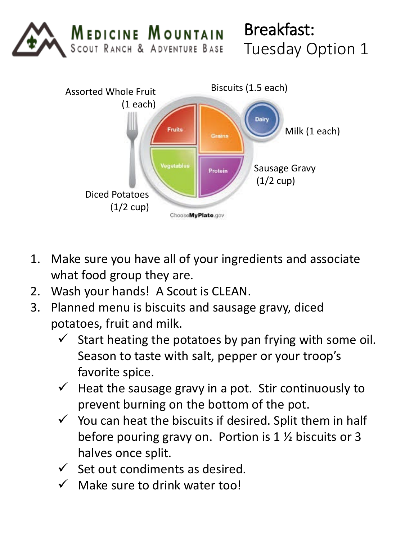

## Breakfast: Tuesday Option 1



- 1. Make sure you have all of your ingredients and associate what food group they are.
- 2. Wash your hands! A Scout is CLEAN.
- 3. Planned menu is biscuits and sausage gravy, diced potatoes, fruit and milk.
	- $\checkmark$  Start heating the potatoes by pan frying with some oil. Season to taste with salt, pepper or your troop's favorite spice.
	- $\checkmark$  Heat the sausage gravy in a pot. Stir continuously to prevent burning on the bottom of the pot.
	- $\checkmark$  You can heat the biscuits if desired. Split them in half before pouring gravy on. Portion is 1 ½ biscuits or 3 halves once split.
	- $\checkmark$  Set out condiments as desired.
	- $\checkmark$  Make sure to drink water too!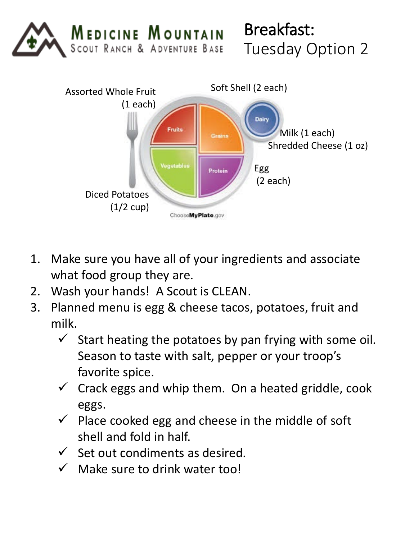



- 1. Make sure you have all of your ingredients and associate what food group they are.
- 2. Wash your hands! A Scout is CLEAN.
- 3. Planned menu is egg & cheese tacos, potatoes, fruit and milk.
	- $\checkmark$  Start heating the potatoes by pan frying with some oil. Season to taste with salt, pepper or your troop's favorite spice.
	- $\checkmark$  Crack eggs and whip them. On a heated griddle, cook eggs.
	- $\checkmark$  Place cooked egg and cheese in the middle of soft shell and fold in half.
	- $\checkmark$  Set out condiments as desired.
	- $\checkmark$  Make sure to drink water too!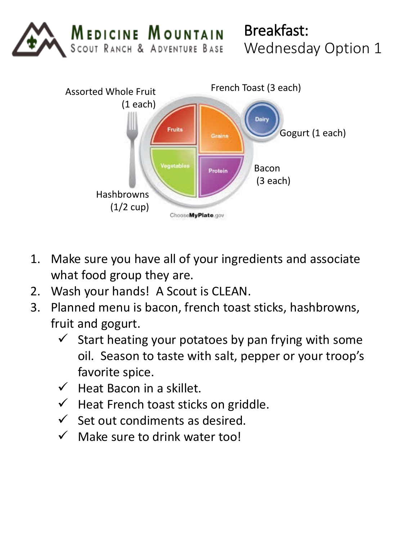

Breakfast: Wednesday Option 1



- 1. Make sure you have all of your ingredients and associate what food group they are.
- 2. Wash your hands! A Scout is CLEAN.
- 3. Planned menu is bacon, french toast sticks, hashbrowns, fruit and gogurt.
	- $\checkmark$  Start heating your potatoes by pan frying with some oil. Season to taste with salt, pepper or your troop's favorite spice.
	- $\checkmark$  Heat Bacon in a skillet.
	- $\checkmark$  Heat French toast sticks on griddle.
	- $\checkmark$  Set out condiments as desired.
	- $\checkmark$  Make sure to drink water too!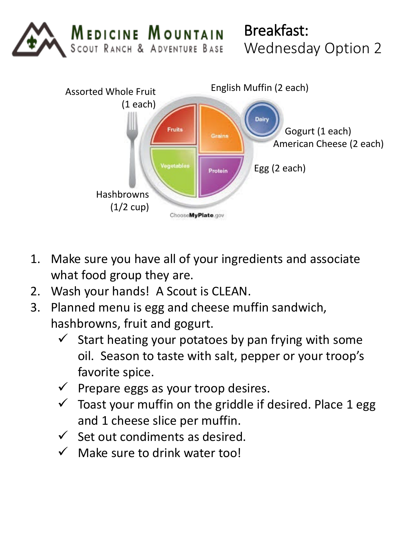

Breakfast: Wednesday Option 2



- 1. Make sure you have all of your ingredients and associate what food group they are.
- 2. Wash your hands! A Scout is CLEAN.
- 3. Planned menu is egg and cheese muffin sandwich, hashbrowns, fruit and gogurt.
	- $\checkmark$  Start heating your potatoes by pan frying with some oil. Season to taste with salt, pepper or your troop's favorite spice.
	- $\checkmark$  Prepare eggs as your troop desires.
	- $\checkmark$  Toast your muffin on the griddle if desired. Place 1 egg and 1 cheese slice per muffin.
	- $\checkmark$  Set out condiments as desired.
	- $\checkmark$  Make sure to drink water too!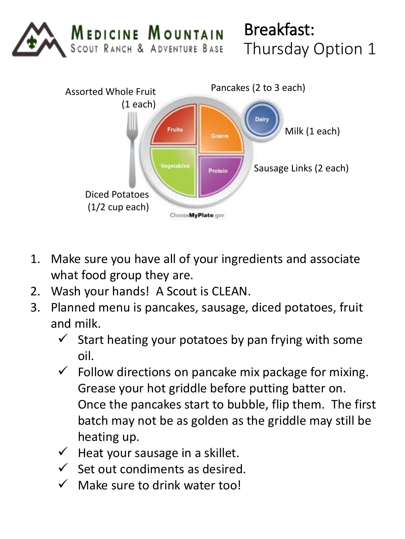

## Breakfast: Thursday Option 1



- 1. Make sure you have all of your ingredients and associate what food group they are.
- 2. Wash your hands! A Scout is CLEAN.
- 3. Planned menu is pancakes, sausage, diced potatoes, fruit and milk.
	- $\checkmark$  Start heating your potatoes by pan frying with some oil.
	- $\checkmark$  Follow directions on pancake mix package for mixing. Grease your hot griddle before putting batter on. Once the pancakes start to bubble, flip them. The first batch may not be as golden as the griddle may still be heating up.
	- $\checkmark$  Heat your sausage in a skillet.
	- $\checkmark$  Set out condiments as desired.
	- $\checkmark$  Make sure to drink water too!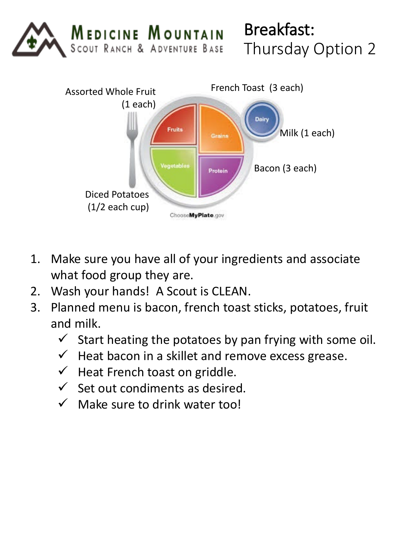

## Breakfast: Thursday Option 2



- 1. Make sure you have all of your ingredients and associate what food group they are.
- 2. Wash your hands! A Scout is CLEAN.
- 3. Planned menu is bacon, french toast sticks, potatoes, fruit and milk.
	- $\checkmark$  Start heating the potatoes by pan frying with some oil.
	- $\checkmark$  Heat bacon in a skillet and remove excess grease.
	- $\checkmark$  Heat French toast on griddle.
	- $\checkmark$  Set out condiments as desired.
	- $\checkmark$  Make sure to drink water too!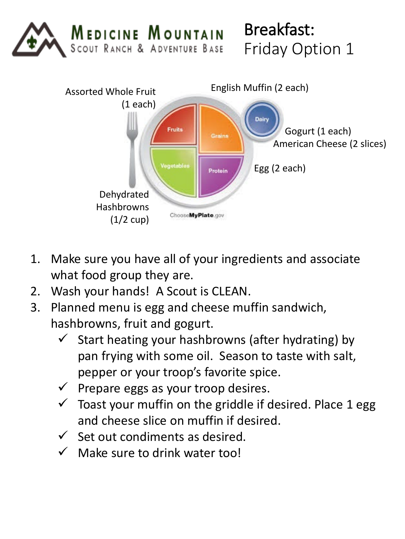

Breakfast: Friday Option 1



- 1. Make sure you have all of your ingredients and associate what food group they are.
- 2. Wash your hands! A Scout is CLEAN.
- 3. Planned menu is egg and cheese muffin sandwich, hashbrowns, fruit and gogurt.
	- $\checkmark$  Start heating your hashbrowns (after hydrating) by pan frying with some oil. Season to taste with salt, pepper or your troop's favorite spice.
	- $\checkmark$  Prepare eggs as your troop desires.
	- $\checkmark$  Toast your muffin on the griddle if desired. Place 1 egg and cheese slice on muffin if desired.
	- $\checkmark$  Set out condiments as desired.
	- $\checkmark$  Make sure to drink water too!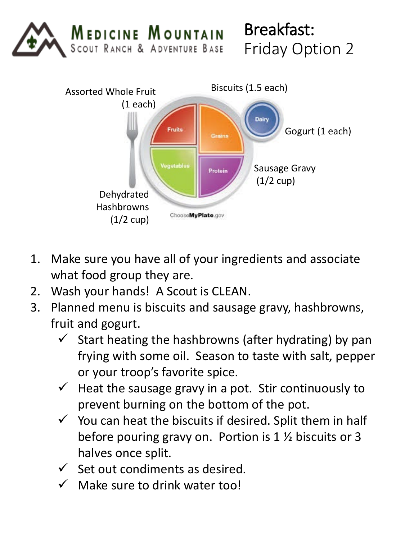

Breakfast: Friday Option 2



- 1. Make sure you have all of your ingredients and associate what food group they are.
- 2. Wash your hands! A Scout is CLEAN.
- 3. Planned menu is biscuits and sausage gravy, hashbrowns, fruit and gogurt.
	- $\checkmark$  Start heating the hashbrowns (after hydrating) by pan frying with some oil. Season to taste with salt, pepper or your troop's favorite spice.
	- $\checkmark$  Heat the sausage gravy in a pot. Stir continuously to prevent burning on the bottom of the pot.
	- $\checkmark$  You can heat the biscuits if desired. Split them in half before pouring gravy on. Portion is 1 ½ biscuits or 3 halves once split.
	- $\checkmark$  Set out condiments as desired.
	- $\checkmark$  Make sure to drink water too!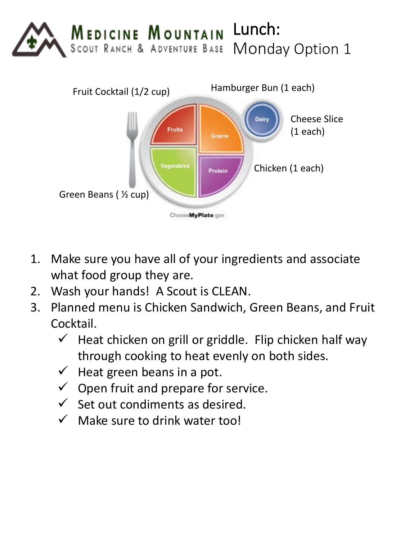



- 1. Make sure you have all of your ingredients and associate what food group they are.
- 2. Wash your hands! A Scout is CLEAN.
- 3. Planned menu is Chicken Sandwich, Green Beans, and Fruit Cocktail.
	- $\checkmark$  Heat chicken on grill or griddle. Flip chicken half way through cooking to heat evenly on both sides.
	- $\checkmark$  Heat green beans in a pot.
	- $\checkmark$  Open fruit and prepare for service.
	- $\checkmark$  Set out condiments as desired.
	- $\checkmark$  Make sure to drink water too!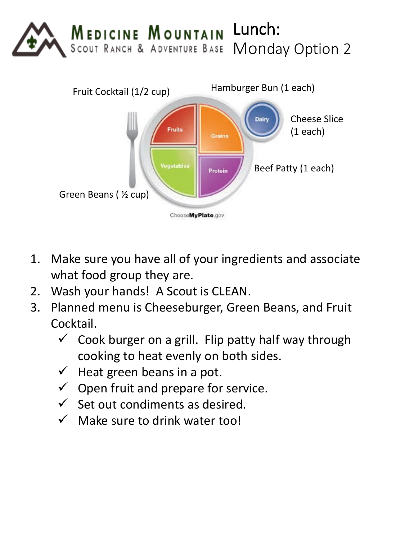



- 1. Make sure you have all of your ingredients and associate what food group they are.
- 2. Wash your hands! A Scout is CLEAN.
- 3. Planned menu is Cheeseburger, Green Beans, and Fruit Cocktail.
	- $\checkmark$  Cook burger on a grill. Flip patty half way through cooking to heat evenly on both sides.
	- $\checkmark$  Heat green beans in a pot.
	- $\checkmark$  Open fruit and prepare for service.
	- $\checkmark$  Set out condiments as desired.
	- $\checkmark$  Make sure to drink water too!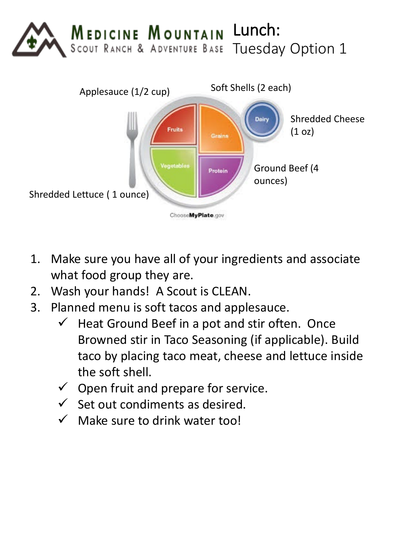



- 1. Make sure you have all of your ingredients and associate what food group they are.
- 2. Wash your hands! A Scout is CLEAN.
- 3. Planned menu is soft tacos and applesauce.
	- $\checkmark$  Heat Ground Beef in a pot and stir often. Once Browned stir in Taco Seasoning (if applicable). Build taco by placing taco meat, cheese and lettuce inside the soft shell.
	- $\checkmark$  Open fruit and prepare for service.
	- $\checkmark$  Set out condiments as desired.
	- $\checkmark$  Make sure to drink water too!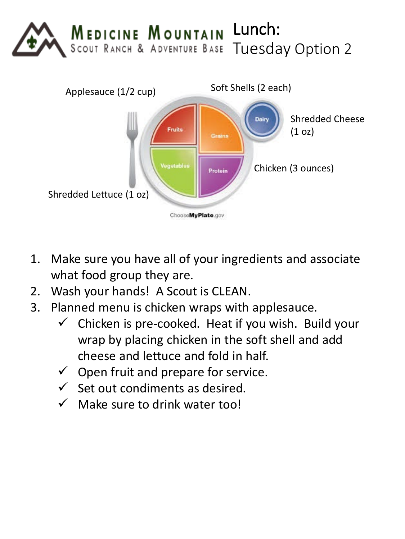



- 1. Make sure you have all of your ingredients and associate what food group they are.
- 2. Wash your hands! A Scout is CLEAN.
- 3. Planned menu is chicken wraps with applesauce.
	- $\checkmark$  Chicken is pre-cooked. Heat if you wish. Build your wrap by placing chicken in the soft shell and add cheese and lettuce and fold in half.
	- $\checkmark$  Open fruit and prepare for service.
	- $\checkmark$  Set out condiments as desired.
	- $\checkmark$  Make sure to drink water too!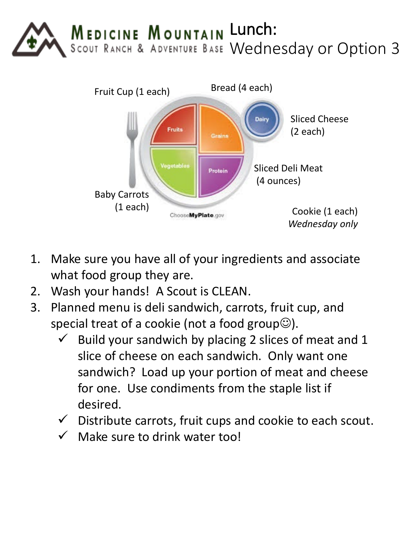



- 1. Make sure you have all of your ingredients and associate what food group they are.
- 2. Wash your hands! A Scout is CLEAN.
- 3. Planned menu is deli sandwich, carrots, fruit cup, and special treat of a cookie (not a food group $\circledcirc$ ).
	- $\checkmark$  Build your sandwich by placing 2 slices of meat and 1 slice of cheese on each sandwich. Only want one sandwich? Load up your portion of meat and cheese for one. Use condiments from the staple list if desired.
	- $\checkmark$  Distribute carrots, fruit cups and cookie to each scout.
	- $\checkmark$  Make sure to drink water too!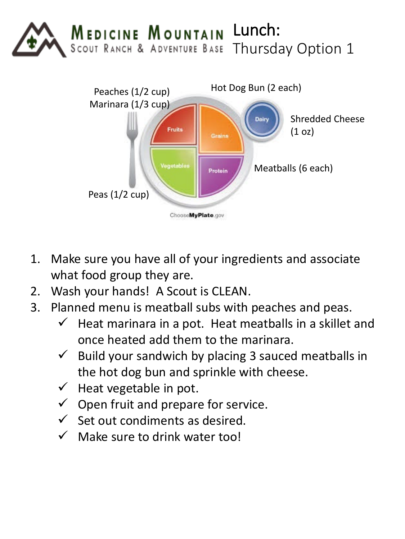



- 1. Make sure you have all of your ingredients and associate what food group they are.
- 2. Wash your hands! A Scout is CLEAN.
- 3. Planned menu is meatball subs with peaches and peas.
	- $\checkmark$  Heat marinara in a pot. Heat meatballs in a skillet and once heated add them to the marinara.
	- $\checkmark$  Build your sandwich by placing 3 sauced meatballs in the hot dog bun and sprinkle with cheese.
	- $\checkmark$  Heat vegetable in pot.
	- $\checkmark$  Open fruit and prepare for service.
	- $\checkmark$  Set out condiments as desired.
	- $\checkmark$  Make sure to drink water too!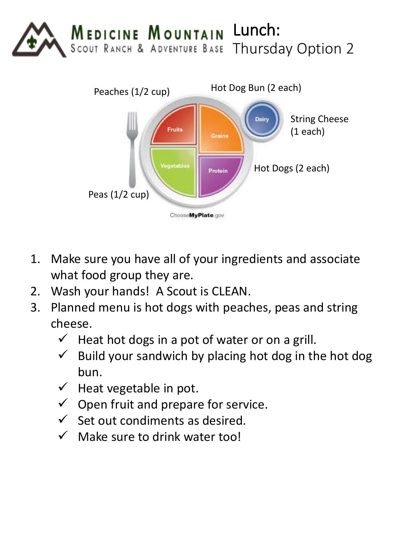



- 1. Make sure you have all of your ingredients and associate what food group they are.
- 2. Wash your hands! A Scout is CLEAN.
- 3. Planned menu is hot dogs with peaches, peas and string cheese.
	- $\checkmark$  Heat hot dogs in a pot of water or on a grill.
	- $\checkmark$  Build your sandwich by placing hot dog in the hot dog bun.
	- $\checkmark$  Heat vegetable in pot.
	- $\checkmark$  Open fruit and prepare for service.
	- $\checkmark$  Set out condiments as desired.
	- $\checkmark$  Make sure to drink water too!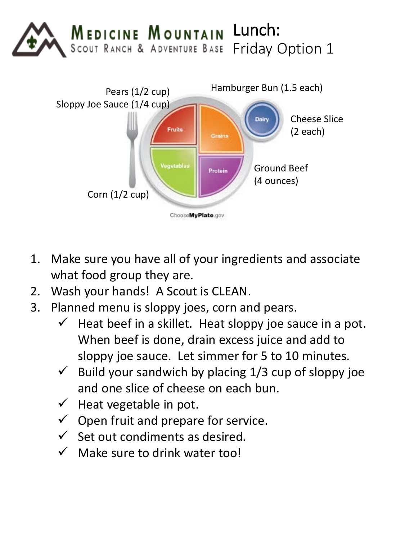



- 1. Make sure you have all of your ingredients and associate what food group they are.
- 2. Wash your hands! A Scout is CLEAN.
- 3. Planned menu is sloppy joes, corn and pears.
	- $\checkmark$  Heat beef in a skillet. Heat sloppy joe sauce in a pot. When beef is done, drain excess juice and add to sloppy joe sauce. Let simmer for 5 to 10 minutes.
	- $\checkmark$  Build your sandwich by placing 1/3 cup of sloppy joe and one slice of cheese on each bun.
	- $\checkmark$  Heat vegetable in pot.
	- $\checkmark$  Open fruit and prepare for service.
	- $\checkmark$  Set out condiments as desired.
	- $\checkmark$  Make sure to drink water too!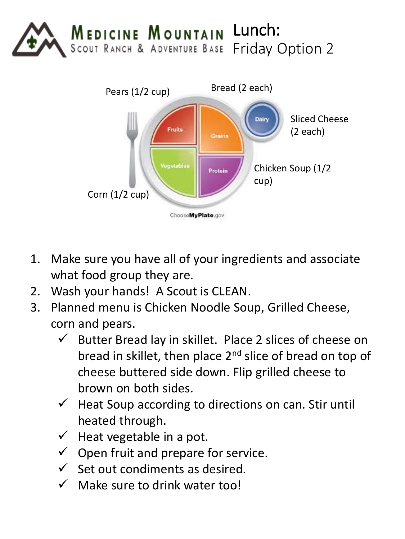



- 1. Make sure you have all of your ingredients and associate what food group they are.
- 2. Wash your hands! A Scout is CLEAN.
- 3. Planned menu is Chicken Noodle Soup, Grilled Cheese, corn and pears.
	- $\checkmark$  Butter Bread lay in skillet. Place 2 slices of cheese on bread in skillet, then place 2<sup>nd</sup> slice of bread on top of cheese buttered side down. Flip grilled cheese to brown on both sides.
	- $\checkmark$  Heat Soup according to directions on can. Stir until heated through.
	- $\checkmark$  Heat vegetable in a pot.
	- $\checkmark$  Open fruit and prepare for service.
	- $\checkmark$  Set out condiments as desired.
	- $\checkmark$  Make sure to drink water too!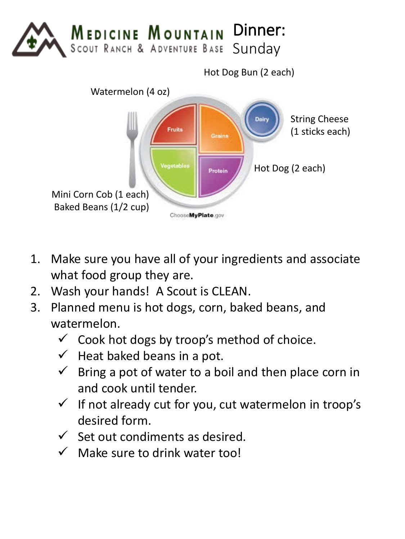



- 1. Make sure you have all of your ingredients and associate what food group they are.
- 2. Wash your hands! A Scout is CLEAN.
- 3. Planned menu is hot dogs, corn, baked beans, and watermelon.
	- $\checkmark$  Cook hot dogs by troop's method of choice.
	- $\checkmark$  Heat baked beans in a pot.
	- $\checkmark$  Bring a pot of water to a boil and then place corn in and cook until tender.
	- $\checkmark$  If not already cut for you, cut watermelon in troop's desired form.
	- $\checkmark$  Set out condiments as desired.
	- $\checkmark$  Make sure to drink water too!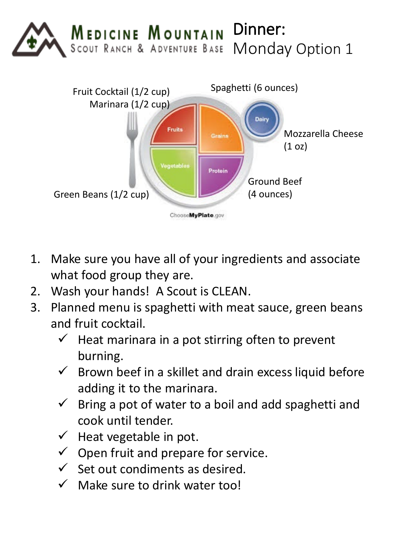



- 1. Make sure you have all of your ingredients and associate what food group they are.
- 2. Wash your hands! A Scout is CLEAN.
- 3. Planned menu is spaghetti with meat sauce, green beans and fruit cocktail.
	- $\checkmark$  Heat marinara in a pot stirring often to prevent burning.
	- $\checkmark$  Brown beef in a skillet and drain excess liquid before adding it to the marinara.
	- $\checkmark$  Bring a pot of water to a boil and add spaghetti and cook until tender.
	- $\checkmark$  Heat vegetable in pot.
	- $\checkmark$  Open fruit and prepare for service.
	- $\checkmark$  Set out condiments as desired.
	- $\checkmark$  Make sure to drink water too!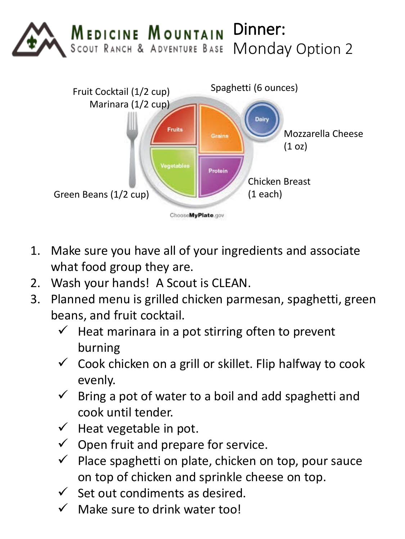



- 1. Make sure you have all of your ingredients and associate what food group they are.
- 2. Wash your hands! A Scout is CLEAN.
- 3. Planned menu is grilled chicken parmesan, spaghetti, green beans, and fruit cocktail.
	- $\checkmark$  Heat marinara in a pot stirring often to prevent burning
	- $\checkmark$  Cook chicken on a grill or skillet. Flip halfway to cook evenly.
	- $\checkmark$  Bring a pot of water to a boil and add spaghetti and cook until tender.
	- $\checkmark$  Heat vegetable in pot.
	- $\checkmark$  Open fruit and prepare for service.
	- $\checkmark$  Place spaghetti on plate, chicken on top, pour sauce on top of chicken and sprinkle cheese on top.
	- $\checkmark$  Set out condiments as desired.
	- $\checkmark$  Make sure to drink water too!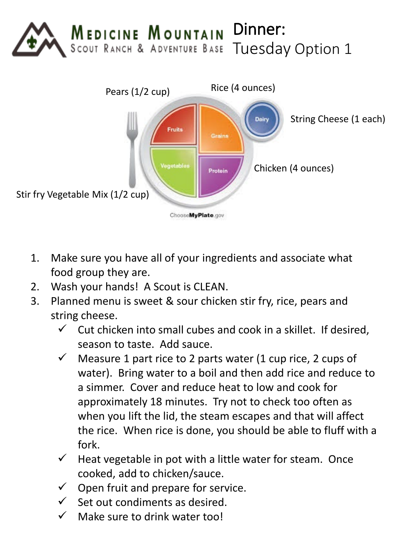



- 1. Make sure you have all of your ingredients and associate what food group they are.
- 2. Wash your hands! A Scout is CLEAN.
- 3. Planned menu is sweet & sour chicken stir fry, rice, pears and string cheese.
	- $\checkmark$  Cut chicken into small cubes and cook in a skillet. If desired, season to taste. Add sauce.
	- $\checkmark$  Measure 1 part rice to 2 parts water (1 cup rice, 2 cups of water). Bring water to a boil and then add rice and reduce to a simmer. Cover and reduce heat to low and cook for approximately 18 minutes. Try not to check too often as when you lift the lid, the steam escapes and that will affect the rice. When rice is done, you should be able to fluff with a fork.
	- $\checkmark$  Heat vegetable in pot with a little water for steam. Once cooked, add to chicken/sauce.
	- $\checkmark$  Open fruit and prepare for service.
	- Set out condiments as desired.
	- Make sure to drink water too!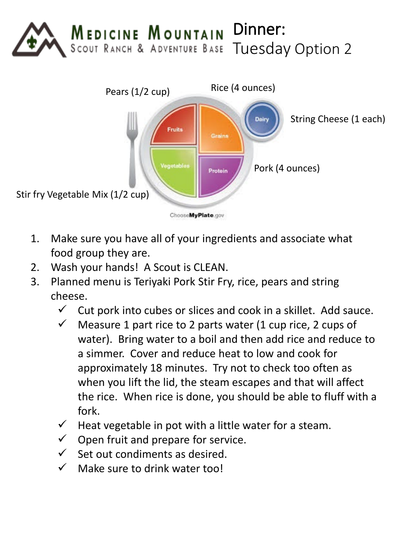



- 1. Make sure you have all of your ingredients and associate what food group they are.
- 2. Wash your hands! A Scout is CLEAN.
- 3. Planned menu is Teriyaki Pork Stir Fry, rice, pears and string cheese.
	- $\checkmark$  Cut pork into cubes or slices and cook in a skillet. Add sauce.
	- $\checkmark$  Measure 1 part rice to 2 parts water (1 cup rice, 2 cups of water). Bring water to a boil and then add rice and reduce to a simmer. Cover and reduce heat to low and cook for approximately 18 minutes. Try not to check too often as when you lift the lid, the steam escapes and that will affect the rice. When rice is done, you should be able to fluff with a fork.
	- $\checkmark$  Heat vegetable in pot with a little water for a steam.
	- $\checkmark$  Open fruit and prepare for service.
	- $\checkmark$  Set out condiments as desired.
	- $\checkmark$  Make sure to drink water too!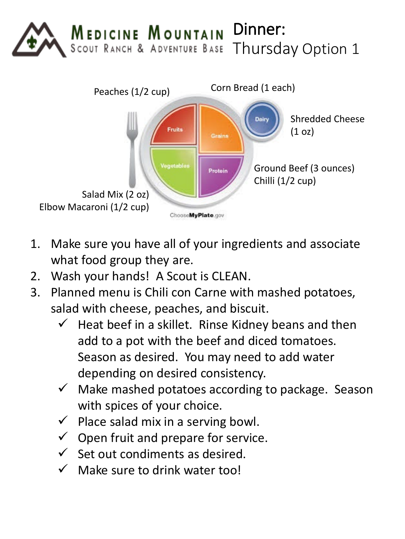



- 1. Make sure you have all of your ingredients and associate what food group they are.
- 2. Wash your hands! A Scout is CLEAN.
- 3. Planned menu is Chili con Carne with mashed potatoes, salad with cheese, peaches, and biscuit.
	- $\checkmark$  Heat beef in a skillet. Rinse Kidney beans and then add to a pot with the beef and diced tomatoes. Season as desired. You may need to add water depending on desired consistency.
	- $\checkmark$  Make mashed potatoes according to package. Season with spices of your choice.
	- $\checkmark$  Place salad mix in a serving bowl.
	- $\checkmark$  Open fruit and prepare for service.
	- $\checkmark$  Set out condiments as desired.
	- $\checkmark$  Make sure to drink water too!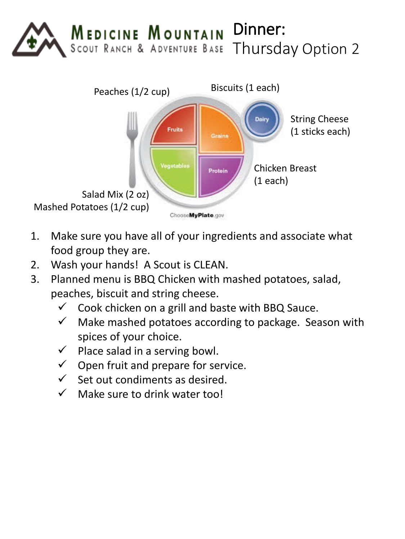



- 1. Make sure you have all of your ingredients and associate what food group they are.
- 2. Wash your hands! A Scout is CLEAN.
- 3. Planned menu is BBQ Chicken with mashed potatoes, salad, peaches, biscuit and string cheese.
	- $\checkmark$  Cook chicken on a grill and baste with BBQ Sauce.
	- $\checkmark$  Make mashed potatoes according to package. Season with spices of your choice.
	- $\checkmark$  Place salad in a serving bowl.
	- $\checkmark$  Open fruit and prepare for service.
	- $\checkmark$  Set out condiments as desired.
	- $\checkmark$  Make sure to drink water too!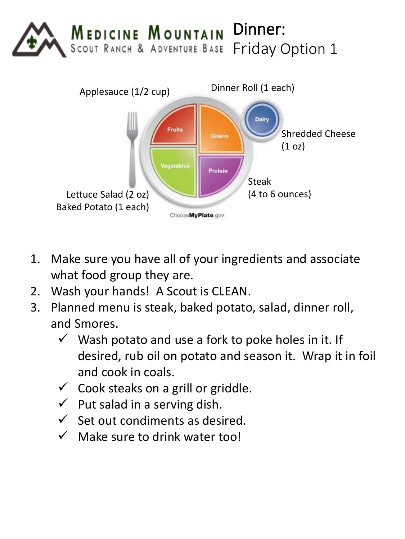



- 1. Make sure you have all of your ingredients and associate what food group they are.
- 2. Wash your hands! A Scout is CLEAN.
- 3. Planned menu is steak, baked potato, salad, dinner roll, and Smores.
	- $\checkmark$  Wash potato and use a fork to poke holes in it. If desired, rub oil on potato and season it. Wrap it in foil and cook in coals.
	- $\checkmark$  Cook steaks on a grill or griddle.
	- $\checkmark$  Put salad in a serving dish.
	- $\checkmark$  Set out condiments as desired.
	- $\checkmark$  Make sure to drink water too!